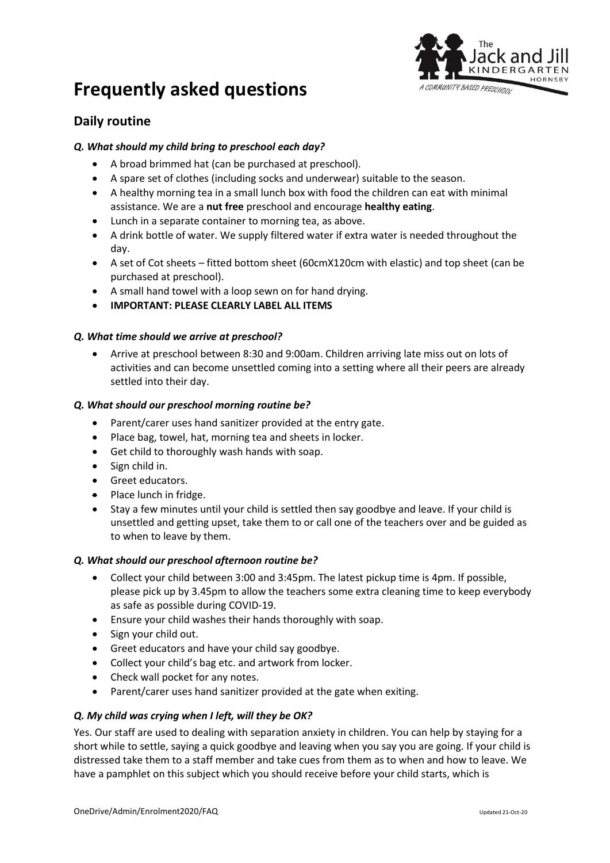



# **Daily routine**

#### *Q. What should my child bring to preschool each day?*

- A broad brimmed hat (can be purchased at preschool).
- A spare set of clothes (including socks and underwear) suitable to the season.
- A healthy morning tea in a small lunch box with food the children can eat with minimal assistance. We are a **nut free** preschool and encourage **healthy eating**.
- Lunch in a separate container to morning tea, as above.
- A drink bottle of water. We supply filtered water if extra water is needed throughout the day.
- A set of Cot sheets fitted bottom sheet (60cmX120cm with elastic) and top sheet (can be purchased at preschool).
- A small hand towel with a loop sewn on for hand drying.
- **IMPORTANT: PLEASE CLEARLY LABEL ALL ITEMS**

#### *Q. What time should we arrive at preschool?*

• Arrive at preschool between 8:30 and 9:00am. Children arriving late miss out on lots of activities and can become unsettled coming into a setting where all their peers are already settled into their day.

#### *Q. What should our preschool morning routine be?*

- Parent/carer uses hand sanitizer provided at the entry gate.
- Place bag, towel, hat, morning tea and sheets in locker.
- Get child to thoroughly wash hands with soap.
- Sign child in.
- Greet educators.
- Place lunch in fridge.
- Stay a few minutes until your child is settled then say goodbye and leave. If your child is unsettled and getting upset, take them to or call one of the teachers over and be guided as to when to leave by them.

#### *Q. What should our preschool afternoon routine be?*

- Collect your child between 3:00 and 3:45pm. The latest pickup time is 4pm. If possible, please pick up by 3.45pm to allow the teachers some extra cleaning time to keep everybody as safe as possible during COVID-19.
- Ensure your child washes their hands thoroughly with soap.
- Sign your child out.
- Greet educators and have your child say goodbye.
- Collect your child's bag etc. and artwork from locker.
- Check wall pocket for any notes.
- Parent/carer uses hand sanitizer provided at the gate when exiting.

#### *Q. My child was crying when I left, will they be OK?*

Yes. Our staff are used to dealing with separation anxiety in children. You can help by staying for a short while to settle, saying a quick goodbye and leaving when you say you are going. If your child is distressed take them to a staff member and take cues from them as to when and how to leave. We have a pamphlet on this subject which you should receive before your child starts, which is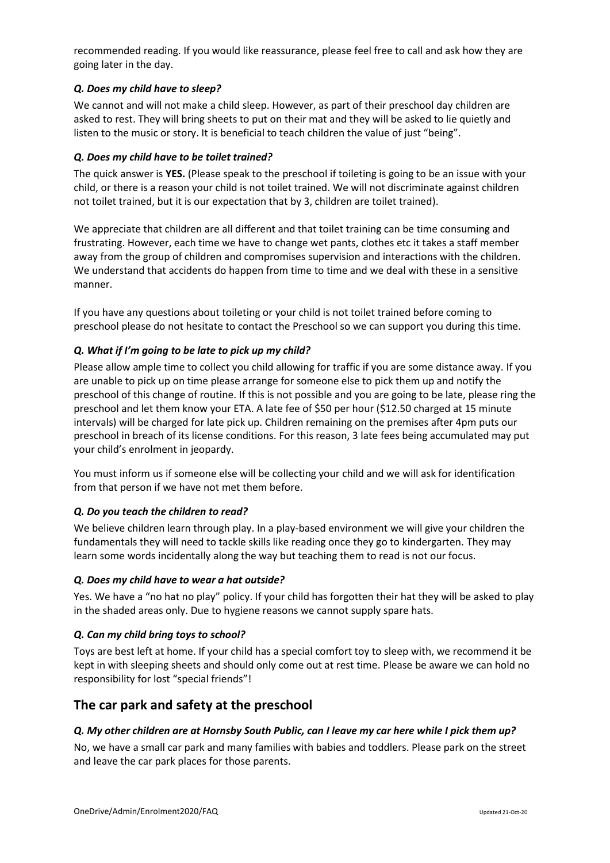recommended reading. If you would like reassurance, please feel free to call and ask how they are going later in the day.

#### *Q. Does my child have to sleep?*

We cannot and will not make a child sleep. However, as part of their preschool day children are asked to rest. They will bring sheets to put on their mat and they will be asked to lie quietly and listen to the music or story. It is beneficial to teach children the value of just "being".

#### *Q. Does my child have to be toilet trained?*

The quick answer is **YES.** (Please speak to the preschool if toileting is going to be an issue with your child, or there is a reason your child is not toilet trained. We will not discriminate against children not toilet trained, but it is our expectation that by 3, children are toilet trained).

We appreciate that children are all different and that toilet training can be time consuming and frustrating. However, each time we have to change wet pants, clothes etc it takes a staff member away from the group of children and compromises supervision and interactions with the children. We understand that accidents do happen from time to time and we deal with these in a sensitive manner.

If you have any questions about toileting or your child is not toilet trained before coming to preschool please do not hesitate to contact the Preschool so we can support you during this time.

#### *Q. What if I'm going to be late to pick up my child?*

Please allow ample time to collect you child allowing for traffic if you are some distance away. If you are unable to pick up on time please arrange for someone else to pick them up and notify the preschool of this change of routine. If this is not possible and you are going to be late, please ring the preschool and let them know your ETA. A late fee of \$50 per hour (\$12.50 charged at 15 minute intervals) will be charged for late pick up. Children remaining on the premises after 4pm puts our preschool in breach of its license conditions. For this reason, 3 late fees being accumulated may put your child's enrolment in jeopardy.

You must inform us if someone else will be collecting your child and we will ask for identification from that person if we have not met them before.

#### *Q. Do you teach the children to read?*

We believe children learn through play. In a play-based environment we will give your children the fundamentals they will need to tackle skills like reading once they go to kindergarten. They may learn some words incidentally along the way but teaching them to read is not our focus.

#### *Q. Does my child have to wear a hat outside?*

Yes. We have a "no hat no play" policy. If your child has forgotten their hat they will be asked to play in the shaded areas only. Due to hygiene reasons we cannot supply spare hats.

#### *Q. Can my child bring toys to school?*

Toys are best left at home. If your child has a special comfort toy to sleep with, we recommend it be kept in with sleeping sheets and should only come out at rest time. Please be aware we can hold no responsibility for lost "special friends"!

## **The car park and safety at the preschool**

#### *Q. My other children are at Hornsby South Public, can I leave my car here while I pick them up?*

No, we have a small car park and many families with babies and toddlers. Please park on the street and leave the car park places for those parents.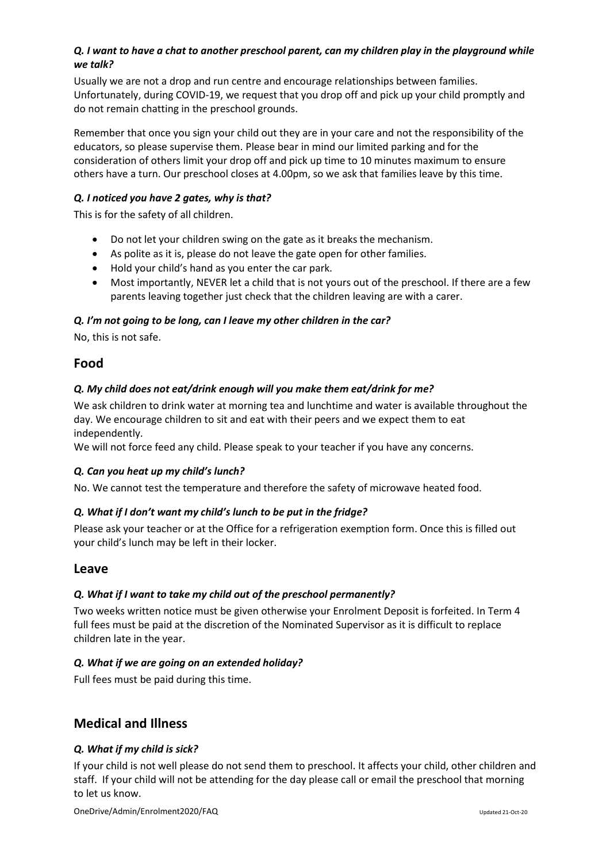## *Q. I want to have a chat to another preschool parent, can my children play in the playground while we talk?*

Usually we are not a drop and run centre and encourage relationships between families. Unfortunately, during COVID-19, we request that you drop off and pick up your child promptly and do not remain chatting in the preschool grounds.

Remember that once you sign your child out they are in your care and not the responsibility of the educators, so please supervise them. Please bear in mind our limited parking and for the consideration of others limit your drop off and pick up time to 10 minutes maximum to ensure others have a turn. Our preschool closes at 4.00pm, so we ask that families leave by this time.

## *Q. I noticed you have 2 gates, why is that?*

This is for the safety of all children.

- Do not let your children swing on the gate as it breaks the mechanism.
- As polite as it is, please do not leave the gate open for other families.
- Hold your child's hand as you enter the car park.
- Most importantly, NEVER let a child that is not yours out of the preschool. If there are a few parents leaving together just check that the children leaving are with a carer.

## *Q. I'm not going to be long, can I leave my other children in the car?*

No, this is not safe.

## **Food**

## *Q. My child does not eat/drink enough will you make them eat/drink for me?*

We ask children to drink water at morning tea and lunchtime and water is available throughout the day. We encourage children to sit and eat with their peers and we expect them to eat independently.

We will not force feed any child. Please speak to your teacher if you have any concerns.

## *Q. Can you heat up my child's lunch?*

No. We cannot test the temperature and therefore the safety of microwave heated food.

## *Q. What if I don't want my child's lunch to be put in the fridge?*

Please ask your teacher or at the Office for a refrigeration exemption form. Once this is filled out your child's lunch may be left in their locker.

## **Leave**

## *Q. What if I want to take my child out of the preschool permanently?*

Two weeks written notice must be given otherwise your Enrolment Deposit is forfeited. In Term 4 full fees must be paid at the discretion of the Nominated Supervisor as it is difficult to replace children late in the year.

## *Q. What if we are going on an extended holiday?*

Full fees must be paid during this time.

# **Medical and Illness**

## *Q. What if my child is sick?*

If your child is not well please do not send them to preschool. It affects your child, other children and staff. If your child will not be attending for the day please call or email the preschool that morning to let us know.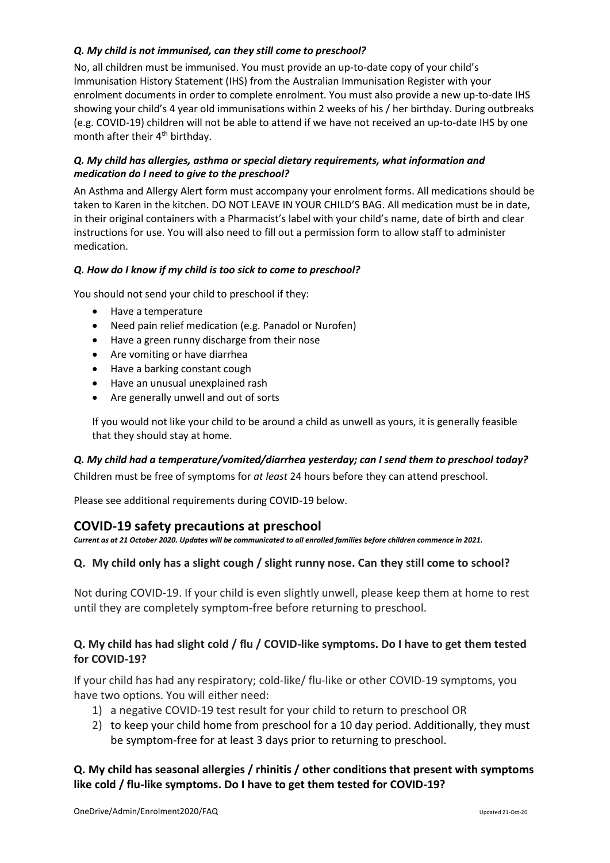## *Q. My child is not immunised, can they still come to preschool?*

No, all children must be immunised. You must provide an up-to-date copy of your child's Immunisation History Statement (IHS) from the Australian Immunisation Register with your enrolment documents in order to complete enrolment. You must also provide a new up-to-date IHS showing your child's 4 year old immunisations within 2 weeks of his / her birthday. During outbreaks (e.g. COVID-19) children will not be able to attend if we have not received an up-to-date IHS by one month after their 4<sup>th</sup> birthday.

#### *Q. My child has allergies, asthma or special dietary requirements, what information and medication do I need to give to the preschool?*

An Asthma and Allergy Alert form must accompany your enrolment forms. All medications should be taken to Karen in the kitchen. DO NOT LEAVE IN YOUR CHILD'S BAG. All medication must be in date, in their original containers with a Pharmacist's label with your child's name, date of birth and clear instructions for use. You will also need to fill out a permission form to allow staff to administer medication.

#### *Q. How do I know if my child is too sick to come to preschool?*

You should not send your child to preschool if they:

- Have a temperature
- Need pain relief medication (e.g. Panadol or Nurofen)
- Have a green runny discharge from their nose
- Are vomiting or have diarrhea
- Have a barking constant cough
- Have an unusual unexplained rash
- Are generally unwell and out of sorts

If you would not like your child to be around a child as unwell as yours, it is generally feasible that they should stay at home.

#### *Q. My child had a temperature/vomited/diarrhea yesterday; can I send them to preschool today?*

Children must be free of symptoms for *at least* 24 hours before they can attend preschool.

Please see additional requirements during COVID-19 below.

## **COVID-19 safety precautions at preschool**

*Current as at 21 October 2020. Updates will be communicated to all enrolled families before children commence in 2021.*

## **Q. My child only has a slight cough / slight runny nose. Can they still come to school?**

Not during COVID-19. If your child is even slightly unwell, please keep them at home to rest until they are completely symptom-free before returning to preschool.

## **Q. My child has had slight cold / flu / COVID-like symptoms. Do I have to get them tested for COVID-19?**

If your child has had any respiratory; cold-like/ flu-like or other COVID-19 symptoms, you have two options. You will either need:

- 1) a negative COVID-19 test result for your child to return to preschool OR
- 2) to keep your child home from preschool for a 10 day period. Additionally, they must be symptom-free for at least 3 days prior to returning to preschool.

## **Q. My child has seasonal allergies / rhinitis / other conditions that present with symptoms like cold / flu-like symptoms. Do I have to get them tested for COVID-19?**